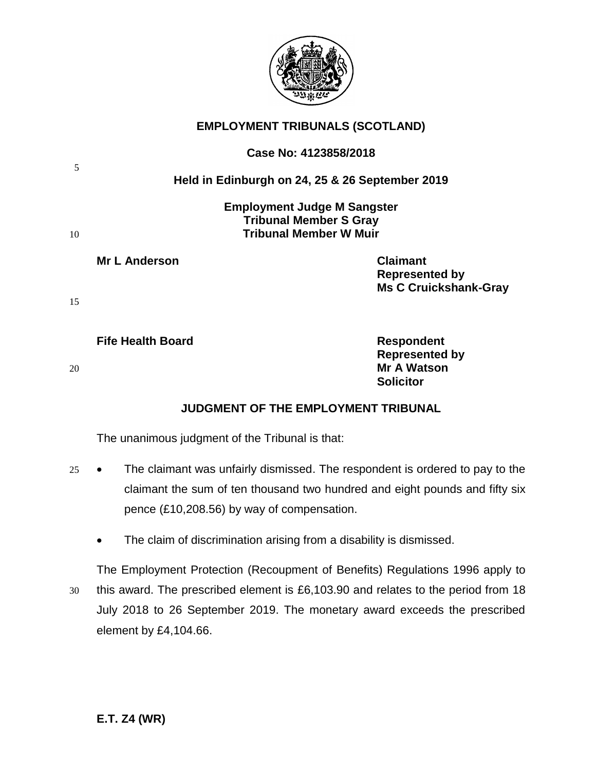

# **EMPLOYMENT TRIBUNALS (SCOTLAND)**

| 5  | Case No: 4123858/2018                                                                                |                                                                          |  |
|----|------------------------------------------------------------------------------------------------------|--------------------------------------------------------------------------|--|
|    |                                                                                                      | Held in Edinburgh on 24, 25 & 26 September 2019                          |  |
| 10 | <b>Employment Judge M Sangster</b><br><b>Tribunal Member S Gray</b><br><b>Tribunal Member W Muir</b> |                                                                          |  |
| 15 | <b>Mr L Anderson</b>                                                                                 | <b>Claimant</b><br><b>Represented by</b><br><b>Ms C Cruickshank-Gray</b> |  |
|    | <b>Fife Health Board</b>                                                                             | <b>Respondent</b>                                                        |  |

**Represented by** 20 **Mr A Watson Solicitor**

# **JUDGMENT OF THE EMPLOYMENT TRIBUNAL**

The unanimous judgment of the Tribunal is that:

- 25 The claimant was unfairly dismissed. The respondent is ordered to pay to the claimant the sum of ten thousand two hundred and eight pounds and fifty six pence (£10,208.56) by way of compensation.
	- The claim of discrimination arising from a disability is dismissed.

The Employment Protection (Recoupment of Benefits) Regulations 1996 apply to 30 this award. The prescribed element is £6,103.90 and relates to the period from 18 July 2018 to 26 September 2019. The monetary award exceeds the prescribed element by £4,104.66.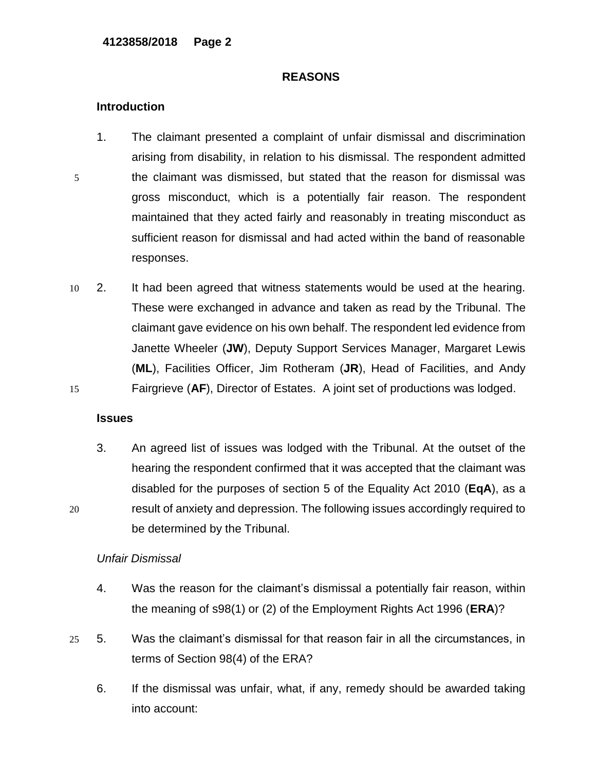### **REASONS**

# **Introduction**

- 1. The claimant presented a complaint of unfair dismissal and discrimination arising from disability, in relation to his dismissal. The respondent admitted 5 the claimant was dismissed, but stated that the reason for dismissal was gross misconduct, which is a potentially fair reason. The respondent maintained that they acted fairly and reasonably in treating misconduct as sufficient reason for dismissal and had acted within the band of reasonable responses.
- 10 2. It had been agreed that witness statements would be used at the hearing. These were exchanged in advance and taken as read by the Tribunal. The claimant gave evidence on his own behalf. The respondent led evidence from Janette Wheeler (**JW**), Deputy Support Services Manager, Margaret Lewis (**ML**), Facilities Officer, Jim Rotheram (**JR**), Head of Facilities, and Andy 15 Fairgrieve (**AF**), Director of Estates. A joint set of productions was lodged.

# **Issues**

3. An agreed list of issues was lodged with the Tribunal. At the outset of the hearing the respondent confirmed that it was accepted that the claimant was disabled for the purposes of section 5 of the Equality Act 2010 (**EqA**), as a 20 result of anxiety and depression. The following issues accordingly required to be determined by the Tribunal.

### *Unfair Dismissal*

- 4. Was the reason for the claimant's dismissal a potentially fair reason, within the meaning of s98(1) or (2) of the Employment Rights Act 1996 (**ERA**)?
- 25 5. Was the claimant's dismissal for that reason fair in all the circumstances, in terms of Section 98(4) of the ERA?
	- 6. If the dismissal was unfair, what, if any, remedy should be awarded taking into account: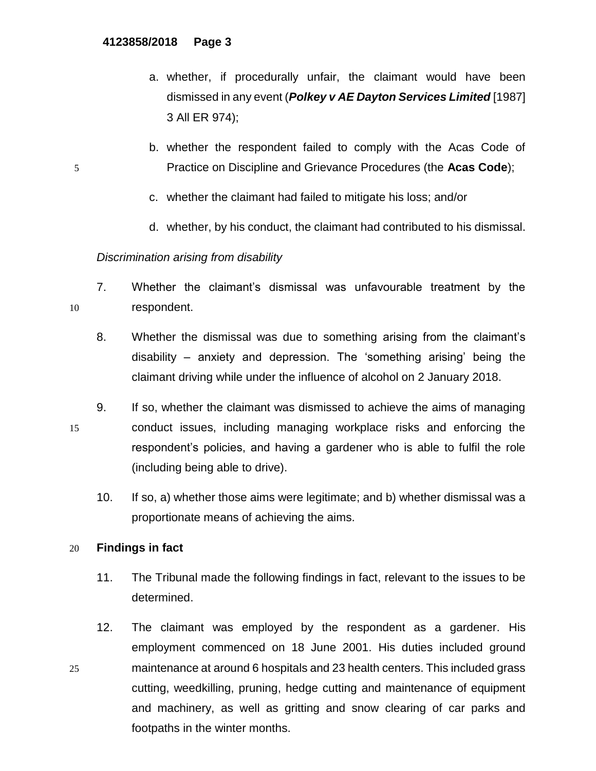- a. whether, if procedurally unfair, the claimant would have been dismissed in any event (*Polkey v AE Dayton Services Limited* [1987] 3 All ER 974);
- b. whether the respondent failed to comply with the Acas Code of 5 Practice on Discipline and Grievance Procedures (the **Acas Code**);
	- c. whether the claimant had failed to mitigate his loss; and/or
	- d. whether, by his conduct, the claimant had contributed to his dismissal.

# *Discrimination arising from disability*

- 7. Whether the claimant's dismissal was unfavourable treatment by the 10 respondent.
	- 8. Whether the dismissal was due to something arising from the claimant's disability – anxiety and depression. The 'something arising' being the claimant driving while under the influence of alcohol on 2 January 2018.
- 9. If so, whether the claimant was dismissed to achieve the aims of managing 15 conduct issues, including managing workplace risks and enforcing the respondent's policies, and having a gardener who is able to fulfil the role (including being able to drive).
	- 10. If so, a) whether those aims were legitimate; and b) whether dismissal was a proportionate means of achieving the aims.

# 20 **Findings in fact**

- 11. The Tribunal made the following findings in fact, relevant to the issues to be determined.
- 12. The claimant was employed by the respondent as a gardener. His employment commenced on 18 June 2001. His duties included ground 25 maintenance at around 6 hospitals and 23 health centers. This included grass cutting, weedkilling, pruning, hedge cutting and maintenance of equipment and machinery, as well as gritting and snow clearing of car parks and footpaths in the winter months.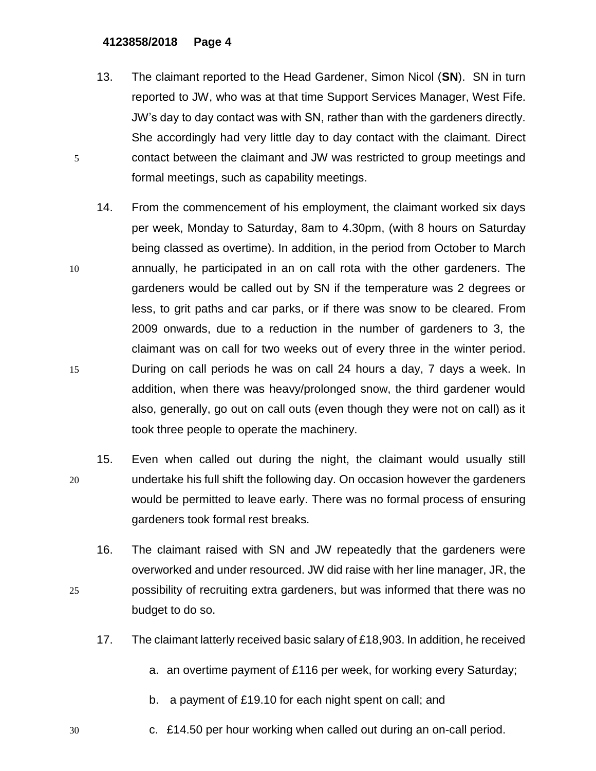- 13. The claimant reported to the Head Gardener, Simon Nicol (**SN**). SN in turn reported to JW, who was at that time Support Services Manager, West Fife. JW's day to day contact was with SN, rather than with the gardeners directly. She accordingly had very little day to day contact with the claimant. Direct 5 contact between the claimant and JW was restricted to group meetings and formal meetings, such as capability meetings.
- 14. From the commencement of his employment, the claimant worked six days per week, Monday to Saturday, 8am to 4.30pm, (with 8 hours on Saturday being classed as overtime). In addition, in the period from October to March 10 annually, he participated in an on call rota with the other gardeners. The gardeners would be called out by SN if the temperature was 2 degrees or less, to grit paths and car parks, or if there was snow to be cleared. From 2009 onwards, due to a reduction in the number of gardeners to 3, the claimant was on call for two weeks out of every three in the winter period. 15 During on call periods he was on call 24 hours a day, 7 days a week. In addition, when there was heavy/prolonged snow, the third gardener would also, generally, go out on call outs (even though they were not on call) as it took three people to operate the machinery.
- 15. Even when called out during the night, the claimant would usually still 20 undertake his full shift the following day. On occasion however the gardeners would be permitted to leave early. There was no formal process of ensuring gardeners took formal rest breaks.
- 16. The claimant raised with SN and JW repeatedly that the gardeners were overworked and under resourced. JW did raise with her line manager, JR, the 25 possibility of recruiting extra gardeners, but was informed that there was no budget to do so.
	- 17. The claimant latterly received basic salary of £18,903. In addition, he received
		- a. an overtime payment of £116 per week, for working every Saturday;
		- b. a payment of £19.10 for each night spent on call; and
- 30 c. £14.50 per hour working when called out during an on-call period.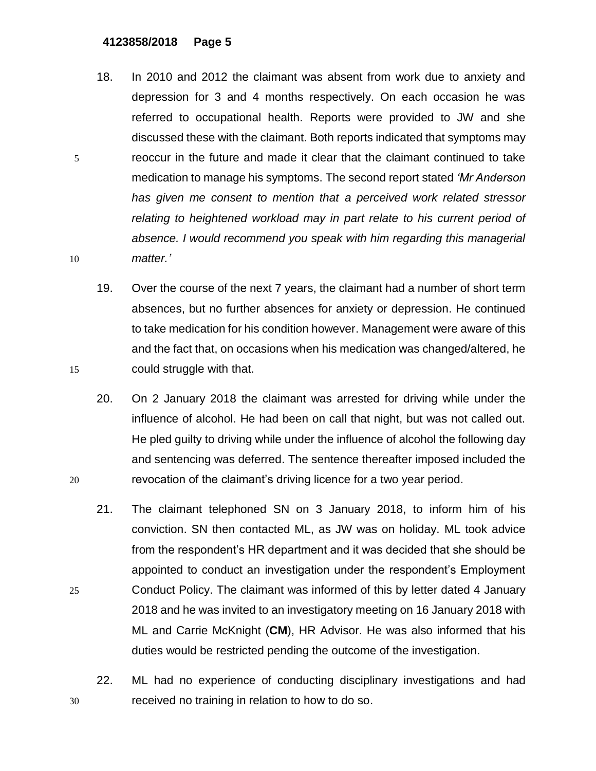- 18. In 2010 and 2012 the claimant was absent from work due to anxiety and depression for 3 and 4 months respectively. On each occasion he was referred to occupational health. Reports were provided to JW and she discussed these with the claimant. Both reports indicated that symptoms may 5 reoccur in the future and made it clear that the claimant continued to take medication to manage his symptoms. The second report stated *'Mr Anderson has given me consent to mention that a perceived work related stressor relating to heightened workload may in part relate to his current period of absence. I would recommend you speak with him regarding this managerial*  10 *matter.'*
- 19. Over the course of the next 7 years, the claimant had a number of short term absences, but no further absences for anxiety or depression. He continued to take medication for his condition however. Management were aware of this and the fact that, on occasions when his medication was changed/altered, he 15 could struggle with that.
- 20. On 2 January 2018 the claimant was arrested for driving while under the influence of alcohol. He had been on call that night, but was not called out. He pled guilty to driving while under the influence of alcohol the following day and sentencing was deferred. The sentence thereafter imposed included the 20 revocation of the claimant's driving licence for a two year period.
- 21. The claimant telephoned SN on 3 January 2018, to inform him of his conviction. SN then contacted ML, as JW was on holiday. ML took advice from the respondent's HR department and it was decided that she should be appointed to conduct an investigation under the respondent's Employment 25 Conduct Policy. The claimant was informed of this by letter dated 4 January 2018 and he was invited to an investigatory meeting on 16 January 2018 with ML and Carrie McKnight (**CM**), HR Advisor. He was also informed that his duties would be restricted pending the outcome of the investigation.
- 22. ML had no experience of conducting disciplinary investigations and had 30 received no training in relation to how to do so.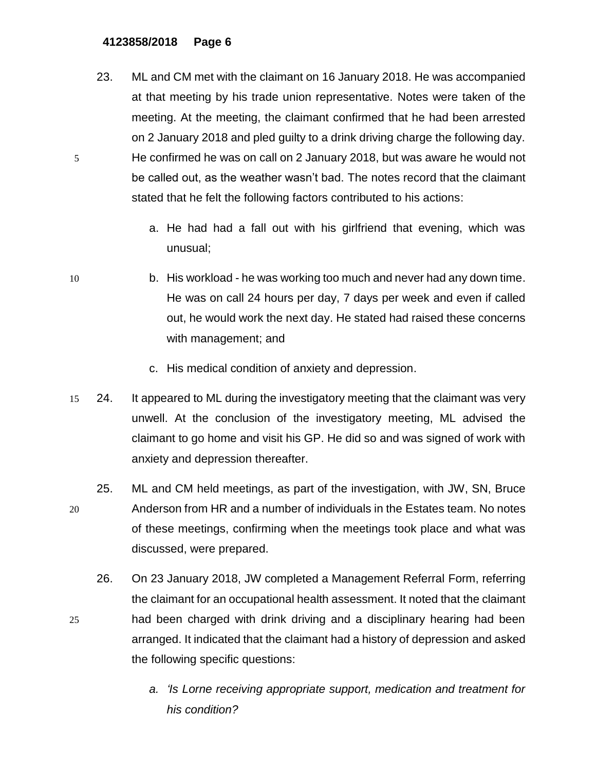- 23. ML and CM met with the claimant on 16 January 2018. He was accompanied at that meeting by his trade union representative. Notes were taken of the meeting. At the meeting, the claimant confirmed that he had been arrested on 2 January 2018 and pled guilty to a drink driving charge the following day. 5 He confirmed he was on call on 2 January 2018, but was aware he would not be called out, as the weather wasn't bad. The notes record that the claimant stated that he felt the following factors contributed to his actions:
	- a. He had had a fall out with his girlfriend that evening, which was unusual;
- 10 b. His workload he was working too much and never had any down time. He was on call 24 hours per day, 7 days per week and even if called out, he would work the next day. He stated had raised these concerns with management; and
	- c. His medical condition of anxiety and depression.
- 15 24. It appeared to ML during the investigatory meeting that the claimant was very unwell. At the conclusion of the investigatory meeting, ML advised the claimant to go home and visit his GP. He did so and was signed of work with anxiety and depression thereafter.
- 25. ML and CM held meetings, as part of the investigation, with JW, SN, Bruce 20 Anderson from HR and a number of individuals in the Estates team. No notes of these meetings, confirming when the meetings took place and what was discussed, were prepared.
- 26. On 23 January 2018, JW completed a Management Referral Form, referring the claimant for an occupational health assessment. It noted that the claimant 25 had been charged with drink driving and a disciplinary hearing had been arranged. It indicated that the claimant had a history of depression and asked the following specific questions:
	- *a. 'Is Lorne receiving appropriate support, medication and treatment for his condition?*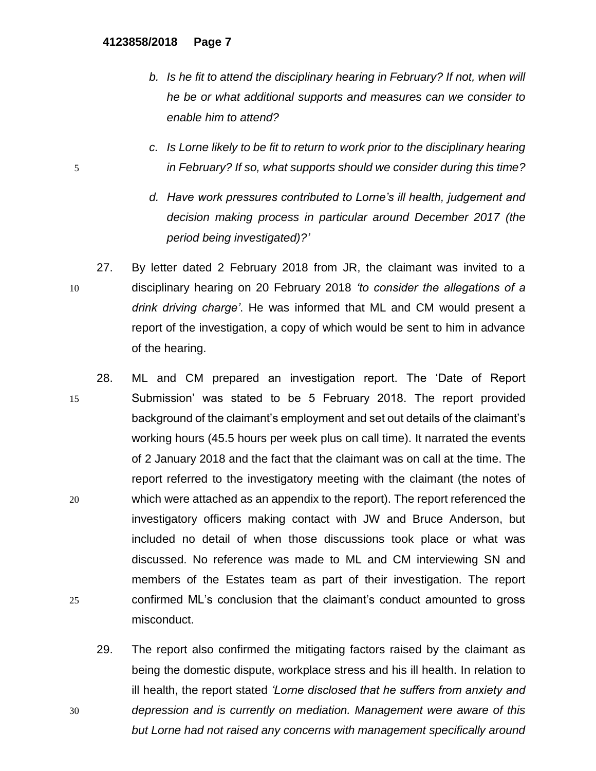- *b.* Is he fit to attend the disciplinary hearing in February? If not, when will *he be or what additional supports and measures can we consider to enable him to attend?*
- *c. Is Lorne likely to be fit to return to work prior to the disciplinary hearing*  5 *in February? If so, what supports should we consider during this time?*
	- *d. Have work pressures contributed to Lorne's ill health, judgement and decision making process in particular around December 2017 (the period being investigated)?'*
- 27. By letter dated 2 February 2018 from JR, the claimant was invited to a 10 disciplinary hearing on 20 February 2018 *'to consider the allegations of a drink driving charge'*. He was informed that ML and CM would present a report of the investigation, a copy of which would be sent to him in advance of the hearing.
- 28. ML and CM prepared an investigation report. The 'Date of Report 15 Submission' was stated to be 5 February 2018. The report provided background of the claimant's employment and set out details of the claimant's working hours (45.5 hours per week plus on call time). It narrated the events of 2 January 2018 and the fact that the claimant was on call at the time. The report referred to the investigatory meeting with the claimant (the notes of 20 which were attached as an appendix to the report). The report referenced the investigatory officers making contact with JW and Bruce Anderson, but included no detail of when those discussions took place or what was discussed. No reference was made to ML and CM interviewing SN and members of the Estates team as part of their investigation. The report 25 confirmed ML's conclusion that the claimant's conduct amounted to gross misconduct.
- 29. The report also confirmed the mitigating factors raised by the claimant as being the domestic dispute, workplace stress and his ill health. In relation to ill health, the report stated *'Lorne disclosed that he suffers from anxiety and*  30 *depression and is currently on mediation. Management were aware of this but Lorne had not raised any concerns with management specifically around*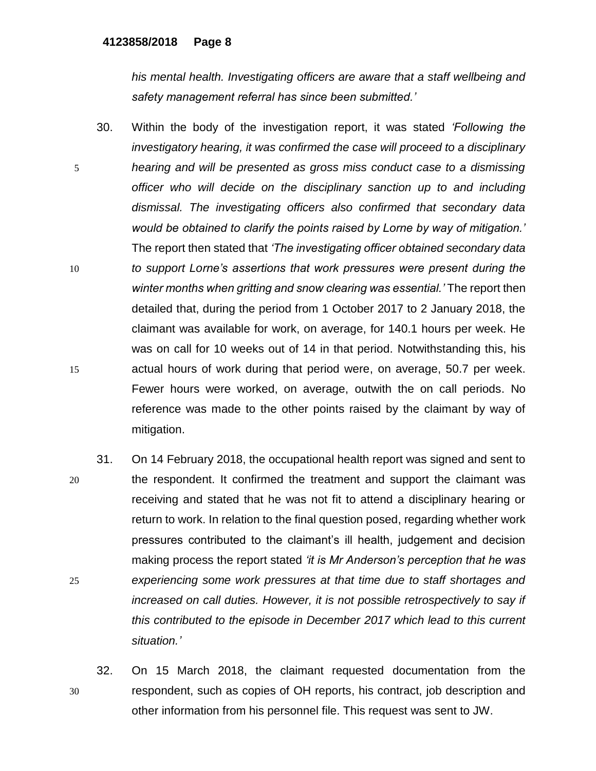*his mental health. Investigating officers are aware that a staff wellbeing and safety management referral has since been submitted.'*

- 30. Within the body of the investigation report, it was stated *'Following the investigatory hearing, it was confirmed the case will proceed to a disciplinary*  5 *hearing and will be presented as gross miss conduct case to a dismissing officer who will decide on the disciplinary sanction up to and including dismissal. The investigating officers also confirmed that secondary data would be obtained to clarify the points raised by Lorne by way of mitigation.'* The report then stated that *'The investigating officer obtained secondary data*  10 *to support Lorne's assertions that work pressures were present during the winter months when gritting and snow clearing was essential.'* The report then detailed that, during the period from 1 October 2017 to 2 January 2018, the claimant was available for work, on average, for 140.1 hours per week. He was on call for 10 weeks out of 14 in that period. Notwithstanding this, his 15 actual hours of work during that period were, on average, 50.7 per week. Fewer hours were worked, on average, outwith the on call periods. No reference was made to the other points raised by the claimant by way of mitigation.
- 31. On 14 February 2018, the occupational health report was signed and sent to 20 the respondent. It confirmed the treatment and support the claimant was receiving and stated that he was not fit to attend a disciplinary hearing or return to work. In relation to the final question posed, regarding whether work pressures contributed to the claimant's ill health, judgement and decision making process the report stated *'it is Mr Anderson's perception that he was*  25 *experiencing some work pressures at that time due to staff shortages and increased on call duties. However, it is not possible retrospectively to say if this contributed to the episode in December 2017 which lead to this current situation.'*
- 32. On 15 March 2018, the claimant requested documentation from the 30 respondent, such as copies of OH reports, his contract, job description and other information from his personnel file. This request was sent to JW.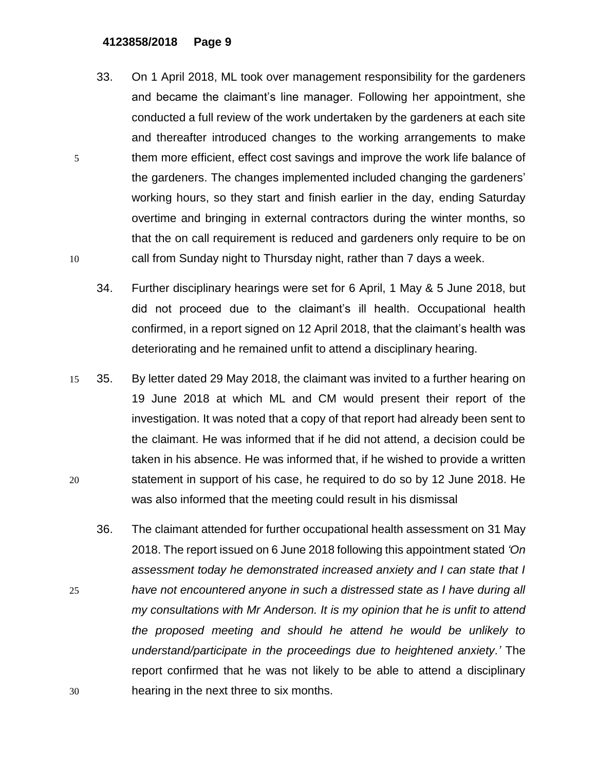- 33. On 1 April 2018, ML took over management responsibility for the gardeners and became the claimant's line manager. Following her appointment, she conducted a full review of the work undertaken by the gardeners at each site and thereafter introduced changes to the working arrangements to make 5 them more efficient, effect cost savings and improve the work life balance of the gardeners. The changes implemented included changing the gardeners' working hours, so they start and finish earlier in the day, ending Saturday overtime and bringing in external contractors during the winter months, so that the on call requirement is reduced and gardeners only require to be on 10 call from Sunday night to Thursday night, rather than 7 days a week.
	- 34. Further disciplinary hearings were set for 6 April, 1 May & 5 June 2018, but did not proceed due to the claimant's ill health. Occupational health confirmed, in a report signed on 12 April 2018, that the claimant's health was deteriorating and he remained unfit to attend a disciplinary hearing.
- 15 35. By letter dated 29 May 2018, the claimant was invited to a further hearing on 19 June 2018 at which ML and CM would present their report of the investigation. It was noted that a copy of that report had already been sent to the claimant. He was informed that if he did not attend, a decision could be taken in his absence. He was informed that, if he wished to provide a written 20 statement in support of his case, he required to do so by 12 June 2018. He was also informed that the meeting could result in his dismissal
- 36. The claimant attended for further occupational health assessment on 31 May 2018. The report issued on 6 June 2018 following this appointment stated *'On assessment today he demonstrated increased anxiety and I can state that I*  25 *have not encountered anyone in such a distressed state as I have during all my consultations with Mr Anderson. It is my opinion that he is unfit to attend the proposed meeting and should he attend he would be unlikely to understand/participate in the proceedings due to heightened anxiety.'* The report confirmed that he was not likely to be able to attend a disciplinary 30 hearing in the next three to six months.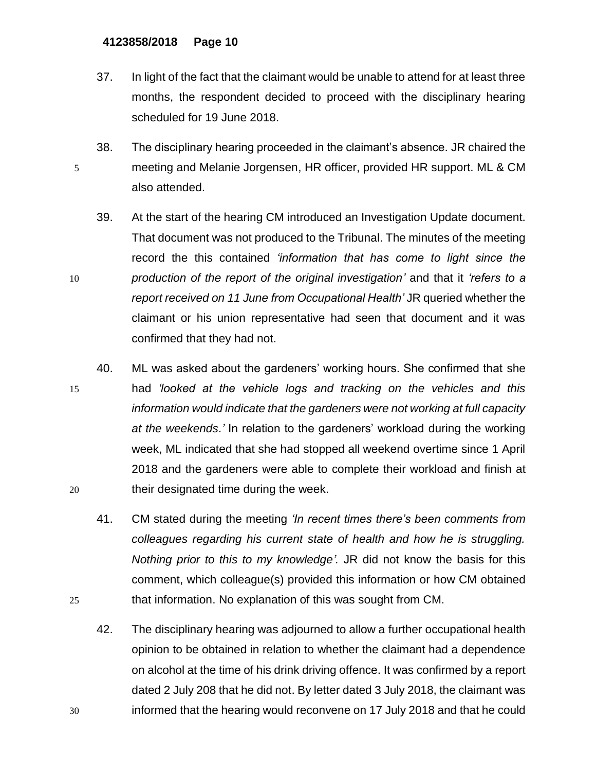- 37. In light of the fact that the claimant would be unable to attend for at least three months, the respondent decided to proceed with the disciplinary hearing scheduled for 19 June 2018.
- 38. The disciplinary hearing proceeded in the claimant's absence. JR chaired the 5 meeting and Melanie Jorgensen, HR officer, provided HR support. ML & CM also attended.
- 39. At the start of the hearing CM introduced an Investigation Update document. That document was not produced to the Tribunal. The minutes of the meeting record the this contained *'information that has come to light since the*  10 *production of the report of the original investigation'* and that it *'refers to a report received on 11 June from Occupational Health'* JR queried whether the claimant or his union representative had seen that document and it was confirmed that they had not.
- 40. ML was asked about the gardeners' working hours. She confirmed that she 15 had *'looked at the vehicle logs and tracking on the vehicles and this information would indicate that the gardeners were not working at full capacity at the weekends.'* In relation to the gardeners' workload during the working week, ML indicated that she had stopped all weekend overtime since 1 April 2018 and the gardeners were able to complete their workload and finish at 20 their designated time during the week.
- 41. CM stated during the meeting *'In recent times there's been comments from colleagues regarding his current state of health and how he is struggling. Nothing prior to this to my knowledge'.* JR did not know the basis for this comment, which colleague(s) provided this information or how CM obtained 25 that information. No explanation of this was sought from CM.
- 42. The disciplinary hearing was adjourned to allow a further occupational health opinion to be obtained in relation to whether the claimant had a dependence on alcohol at the time of his drink driving offence. It was confirmed by a report dated 2 July 208 that he did not. By letter dated 3 July 2018, the claimant was 30 informed that the hearing would reconvene on 17 July 2018 and that he could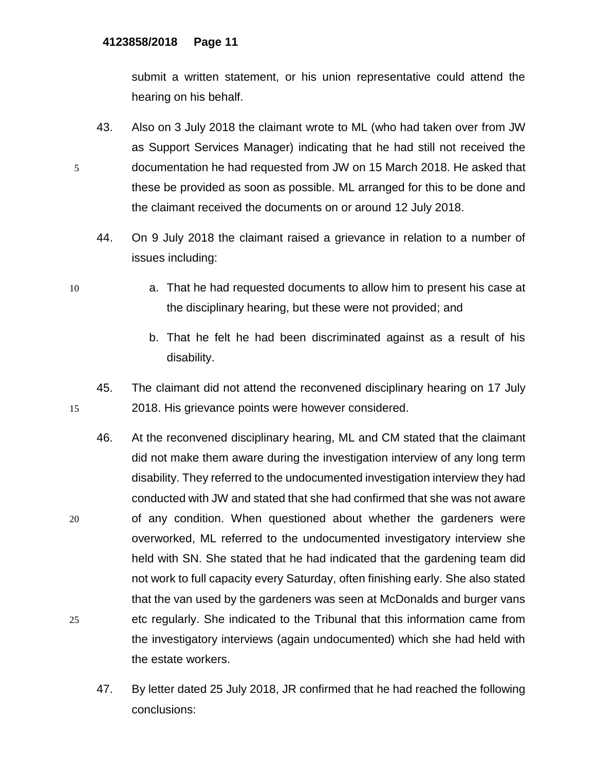submit a written statement, or his union representative could attend the hearing on his behalf.

- 43. Also on 3 July 2018 the claimant wrote to ML (who had taken over from JW as Support Services Manager) indicating that he had still not received the 5 documentation he had requested from JW on 15 March 2018. He asked that these be provided as soon as possible. ML arranged for this to be done and the claimant received the documents on or around 12 July 2018.
	- 44. On 9 July 2018 the claimant raised a grievance in relation to a number of issues including:
- 
- 10 a. That he had requested documents to allow him to present his case at the disciplinary hearing, but these were not provided; and
	- b. That he felt he had been discriminated against as a result of his disability.
- 45. The claimant did not attend the reconvened disciplinary hearing on 17 July 15 2018. His grievance points were however considered.
- 46. At the reconvened disciplinary hearing, ML and CM stated that the claimant did not make them aware during the investigation interview of any long term disability. They referred to the undocumented investigation interview they had conducted with JW and stated that she had confirmed that she was not aware 20 of any condition. When questioned about whether the gardeners were overworked, ML referred to the undocumented investigatory interview she held with SN. She stated that he had indicated that the gardening team did not work to full capacity every Saturday, often finishing early. She also stated that the van used by the gardeners was seen at McDonalds and burger vans 25 etc regularly. She indicated to the Tribunal that this information came from the investigatory interviews (again undocumented) which she had held with the estate workers.
	- 47. By letter dated 25 July 2018, JR confirmed that he had reached the following conclusions: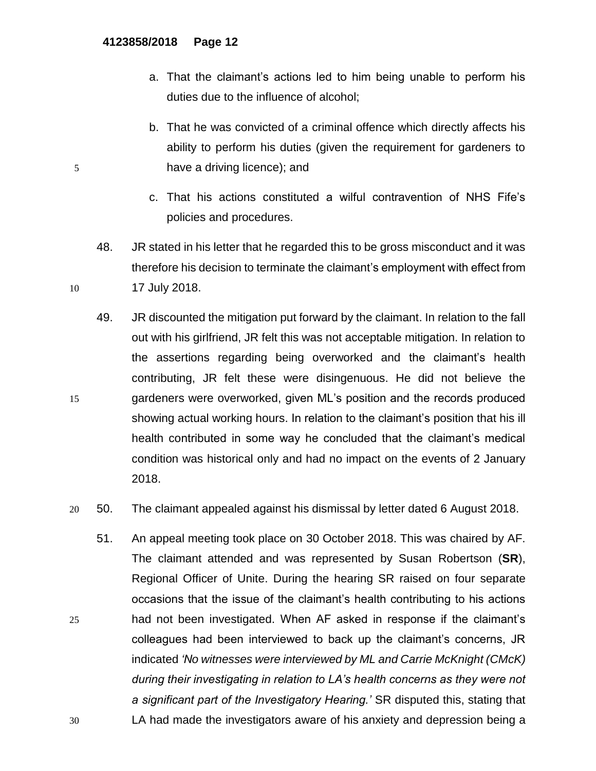- a. That the claimant's actions led to him being unable to perform his duties due to the influence of alcohol;
- b. That he was convicted of a criminal offence which directly affects his ability to perform his duties (given the requirement for gardeners to 5 have a driving licence); and
	- c. That his actions constituted a wilful contravention of NHS Fife's policies and procedures.
- 48. JR stated in his letter that he regarded this to be gross misconduct and it was therefore his decision to terminate the claimant's employment with effect from 10 17 July 2018.
- 49. JR discounted the mitigation put forward by the claimant. In relation to the fall out with his girlfriend, JR felt this was not acceptable mitigation. In relation to the assertions regarding being overworked and the claimant's health contributing, JR felt these were disingenuous. He did not believe the 15 gardeners were overworked, given ML's position and the records produced showing actual working hours. In relation to the claimant's position that his ill health contributed in some way he concluded that the claimant's medical condition was historical only and had no impact on the events of 2 January 2018.
- 20 50. The claimant appealed against his dismissal by letter dated 6 August 2018.
- 51. An appeal meeting took place on 30 October 2018. This was chaired by AF. The claimant attended and was represented by Susan Robertson (**SR**), Regional Officer of Unite. During the hearing SR raised on four separate occasions that the issue of the claimant's health contributing to his actions 25 had not been investigated. When AF asked in response if the claimant's colleagues had been interviewed to back up the claimant's concerns, JR indicated *'No witnesses were interviewed by ML and Carrie McKnight (CMcK) during their investigating in relation to LA's health concerns as they were not a significant part of the Investigatory Hearing.'* SR disputed this, stating that 30 LA had made the investigators aware of his anxiety and depression being a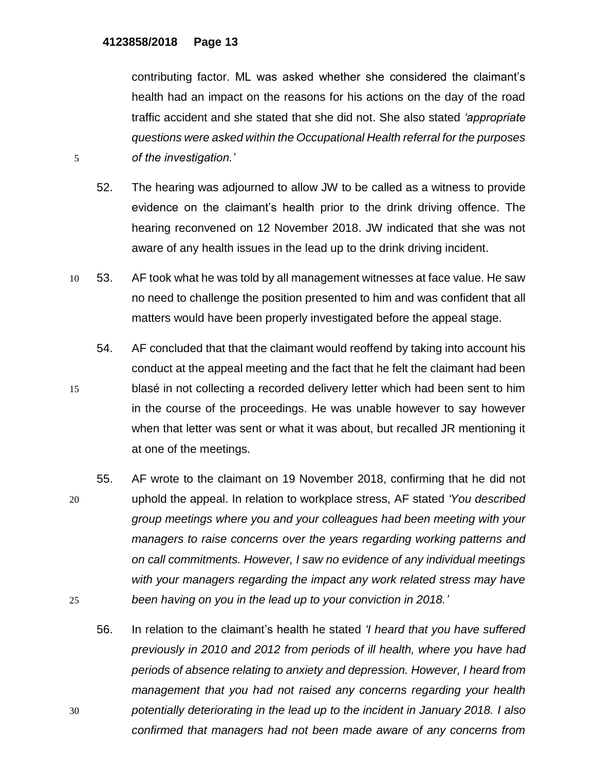contributing factor. ML was asked whether she considered the claimant's health had an impact on the reasons for his actions on the day of the road traffic accident and she stated that she did not. She also stated *'appropriate questions were asked within the Occupational Health referral for the purposes*  5 *of the investigation.'*

- 52. The hearing was adjourned to allow JW to be called as a witness to provide evidence on the claimant's health prior to the drink driving offence. The hearing reconvened on 12 November 2018. JW indicated that she was not aware of any health issues in the lead up to the drink driving incident.
- 10 53. AF took what he was told by all management witnesses at face value. He saw no need to challenge the position presented to him and was confident that all matters would have been properly investigated before the appeal stage.
- 54. AF concluded that that the claimant would reoffend by taking into account his conduct at the appeal meeting and the fact that he felt the claimant had been 15 blasé in not collecting a recorded delivery letter which had been sent to him in the course of the proceedings. He was unable however to say however when that letter was sent or what it was about, but recalled JR mentioning it at one of the meetings.
- 55. AF wrote to the claimant on 19 November 2018, confirming that he did not 20 uphold the appeal. In relation to workplace stress, AF stated *'You described group meetings where you and your colleagues had been meeting with your managers to raise concerns over the years regarding working patterns and on call commitments. However, I saw no evidence of any individual meetings with your managers regarding the impact any work related stress may have*  25 *been having on you in the lead up to your conviction in 2018.'*
- 56. In relation to the claimant's health he stated *'I heard that you have suffered previously in 2010 and 2012 from periods of ill health, where you have had periods of absence relating to anxiety and depression. However, I heard from management that you had not raised any concerns regarding your health*  30 *potentially deteriorating in the lead up to the incident in January 2018. I also confirmed that managers had not been made aware of any concerns from*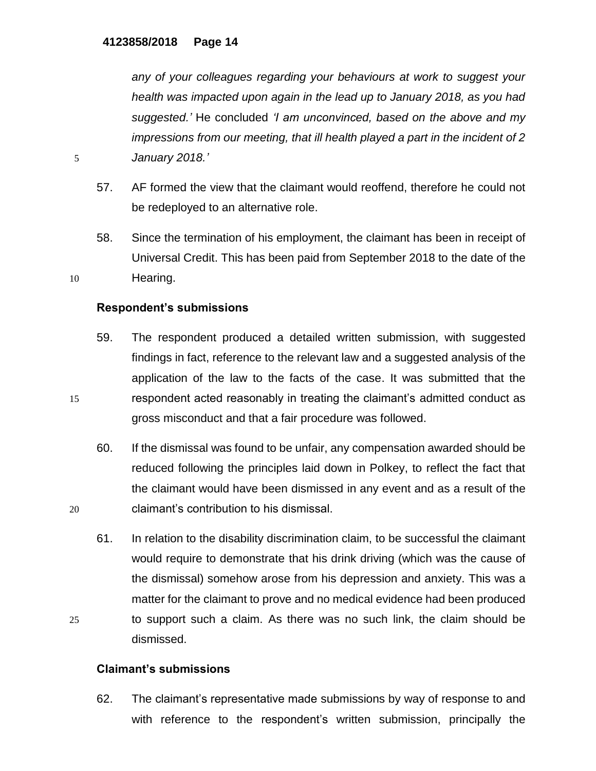*any of your colleagues regarding your behaviours at work to suggest your health was impacted upon again in the lead up to January 2018, as you had suggested.'* He concluded *'I am unconvinced, based on the above and my impressions from our meeting, that ill health played a part in the incident of 2*  5 *January 2018.'*

- 57. AF formed the view that the claimant would reoffend, therefore he could not be redeployed to an alternative role.
- 58. Since the termination of his employment, the claimant has been in receipt of Universal Credit. This has been paid from September 2018 to the date of the 10 Hearing.

# **Respondent's submissions**

- 59. The respondent produced a detailed written submission, with suggested findings in fact, reference to the relevant law and a suggested analysis of the application of the law to the facts of the case. It was submitted that the 15 respondent acted reasonably in treating the claimant's admitted conduct as gross misconduct and that a fair procedure was followed.
- 60. If the dismissal was found to be unfair, any compensation awarded should be reduced following the principles laid down in Polkey, to reflect the fact that the claimant would have been dismissed in any event and as a result of the 20 claimant's contribution to his dismissal.
- 61. In relation to the disability discrimination claim, to be successful the claimant would require to demonstrate that his drink driving (which was the cause of the dismissal) somehow arose from his depression and anxiety. This was a matter for the claimant to prove and no medical evidence had been produced 25 to support such a claim. As there was no such link, the claim should be dismissed.

### **Claimant's submissions**

62. The claimant's representative made submissions by way of response to and with reference to the respondent's written submission, principally the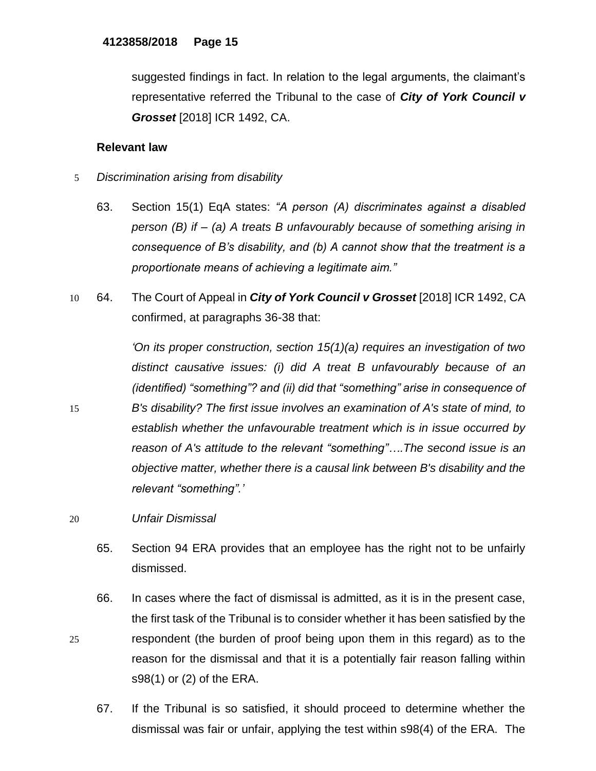suggested findings in fact. In relation to the legal arguments, the claimant's representative referred the Tribunal to the case of *City of York Council v Grosset* [2018] ICR 1492, CA.

# **Relevant law**

- 5 *Discrimination arising from disability*
	- 63. Section 15(1) EqA states: *"A person (A) discriminates against a disabled person (B) if – (a) A treats B unfavourably because of something arising in consequence of B's disability, and (b) A cannot show that the treatment is a proportionate means of achieving a legitimate aim."*
- 10 64. The Court of Appeal in *City of York Council v Grosset* [2018] ICR 1492, CA confirmed, at paragraphs 36-38 that:

*'On its proper construction, section 15(1)(a) requires an investigation of two distinct causative issues: (i) did A treat B unfavourably because of an (identified) "something"? and (ii) did that "something" arise in consequence of*  15 *B's disability? The first issue involves an examination of A's state of mind, to establish whether the unfavourable treatment which is in issue occurred by reason of A's attitude to the relevant "something"….The second issue is an objective matter, whether there is a causal link between B's disability and the relevant "something".'*

- 65. Section 94 ERA provides that an employee has the right not to be unfairly dismissed.
- 66. In cases where the fact of dismissal is admitted, as it is in the present case, the first task of the Tribunal is to consider whether it has been satisfied by the 25 respondent (the burden of proof being upon them in this regard) as to the reason for the dismissal and that it is a potentially fair reason falling within s98(1) or (2) of the ERA.
	- 67. If the Tribunal is so satisfied, it should proceed to determine whether the dismissal was fair or unfair, applying the test within s98(4) of the ERA. The

<sup>20</sup> *Unfair Dismissal*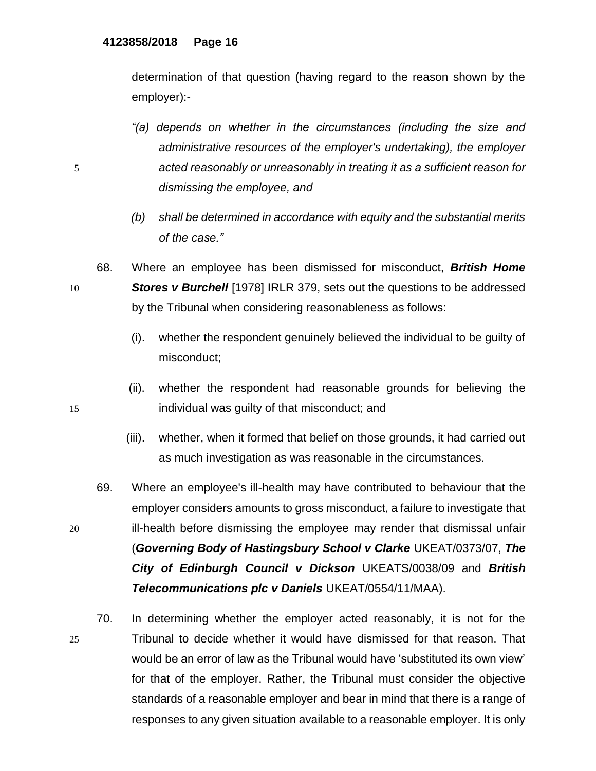determination of that question (having regard to the reason shown by the employer):-

- *"(a) depends on whether in the circumstances (including the size and administrative resources of the employer's undertaking), the employer*  5 *acted reasonably or unreasonably in treating it as a sufficient reason for dismissing the employee, and*
	- *(b) shall be determined in accordance with equity and the substantial merits of the case."*
- 68. Where an employee has been dismissed for misconduct, *British Home*  10 *Stores v Burchell* [1978] IRLR 379, sets out the questions to be addressed by the Tribunal when considering reasonableness as follows:
	- (i). whether the respondent genuinely believed the individual to be guilty of misconduct;
- (ii). whether the respondent had reasonable grounds for believing the 15 individual was guilty of that misconduct; and
	- (iii). whether, when it formed that belief on those grounds, it had carried out as much investigation as was reasonable in the circumstances.
- 69. Where an employee's ill-health may have contributed to behaviour that the employer considers amounts to gross misconduct, a failure to investigate that 20 ill-health before dismissing the employee may render that dismissal unfair (*Governing Body of Hastingsbury School v Clarke* UKEAT/0373/07, *The City of Edinburgh Council v Dickson* UKEATS/0038/09 and *British Telecommunications plc v Daniels* UKEAT/0554/11/MAA).
- 70. In determining whether the employer acted reasonably, it is not for the 25 Tribunal to decide whether it would have dismissed for that reason. That would be an error of law as the Tribunal would have 'substituted its own view' for that of the employer. Rather, the Tribunal must consider the objective standards of a reasonable employer and bear in mind that there is a range of responses to any given situation available to a reasonable employer. It is only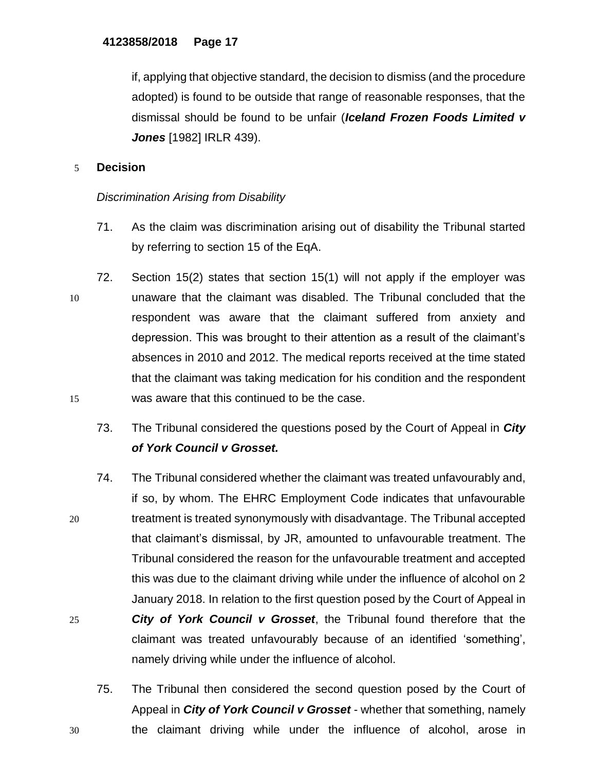if, applying that objective standard, the decision to dismiss (and the procedure adopted) is found to be outside that range of reasonable responses, that the dismissal should be found to be unfair (*Iceland Frozen Foods Limited v Jones* [1982] IRLR 439).

# 5 **Decision**

# *Discrimination Arising from Disability*

- 71. As the claim was discrimination arising out of disability the Tribunal started by referring to section 15 of the EqA.
- 72. Section 15(2) states that section 15(1) will not apply if the employer was 10 unaware that the claimant was disabled. The Tribunal concluded that the respondent was aware that the claimant suffered from anxiety and depression. This was brought to their attention as a result of the claimant's absences in 2010 and 2012. The medical reports received at the time stated that the claimant was taking medication for his condition and the respondent 15 was aware that this continued to be the case.
	- 73. The Tribunal considered the questions posed by the Court of Appeal in *City of York Council v Grosset.*
- 74. The Tribunal considered whether the claimant was treated unfavourably and, if so, by whom. The EHRC Employment Code indicates that unfavourable 20 treatment is treated synonymously with disadvantage. The Tribunal accepted that claimant's dismissal, by JR, amounted to unfavourable treatment. The Tribunal considered the reason for the unfavourable treatment and accepted this was due to the claimant driving while under the influence of alcohol on 2 January 2018. In relation to the first question posed by the Court of Appeal in 25 *City of York Council v Grosset*, the Tribunal found therefore that the claimant was treated unfavourably because of an identified 'something', namely driving while under the influence of alcohol.
- 75. The Tribunal then considered the second question posed by the Court of Appeal in *City of York Council v Grosset* - whether that something, namely 30 the claimant driving while under the influence of alcohol, arose in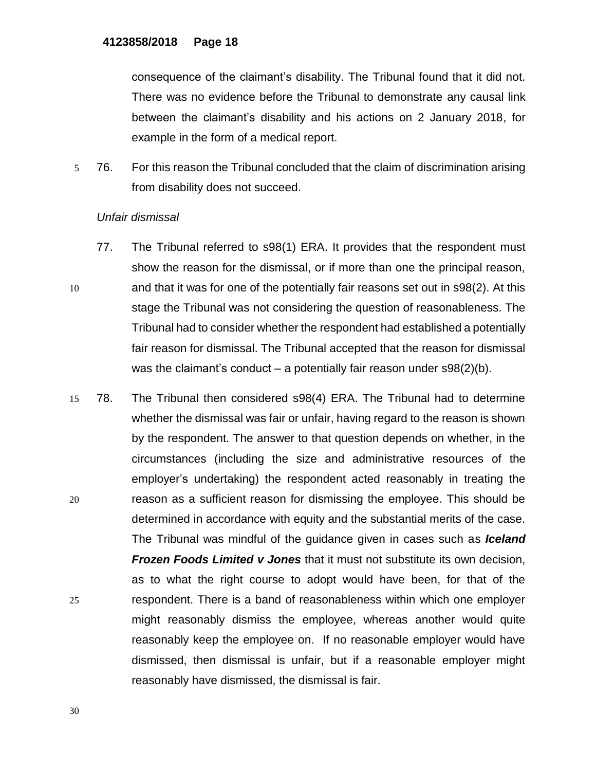consequence of the claimant's disability. The Tribunal found that it did not. There was no evidence before the Tribunal to demonstrate any causal link between the claimant's disability and his actions on 2 January 2018, for example in the form of a medical report.

5 76. For this reason the Tribunal concluded that the claim of discrimination arising from disability does not succeed.

### *Unfair dismissal*

- 77. The Tribunal referred to s98(1) ERA. It provides that the respondent must show the reason for the dismissal, or if more than one the principal reason, 10 and that it was for one of the potentially fair reasons set out in s98(2). At this stage the Tribunal was not considering the question of reasonableness. The Tribunal had to consider whether the respondent had established a potentially fair reason for dismissal. The Tribunal accepted that the reason for dismissal was the claimant's conduct – a potentially fair reason under  $\frac{98(2)}{b}$ .
- 15 78. The Tribunal then considered s98(4) ERA. The Tribunal had to determine whether the dismissal was fair or unfair, having regard to the reason is shown by the respondent. The answer to that question depends on whether, in the circumstances (including the size and administrative resources of the employer's undertaking) the respondent acted reasonably in treating the 20 reason as a sufficient reason for dismissing the employee. This should be determined in accordance with equity and the substantial merits of the case. The Tribunal was mindful of the guidance given in cases such as *Iceland Frozen Foods Limited v Jones* that it must not substitute its own decision, as to what the right course to adopt would have been, for that of the 25 respondent. There is a band of reasonableness within which one employer might reasonably dismiss the employee, whereas another would quite reasonably keep the employee on. If no reasonable employer would have dismissed, then dismissal is unfair, but if a reasonable employer might reasonably have dismissed, the dismissal is fair.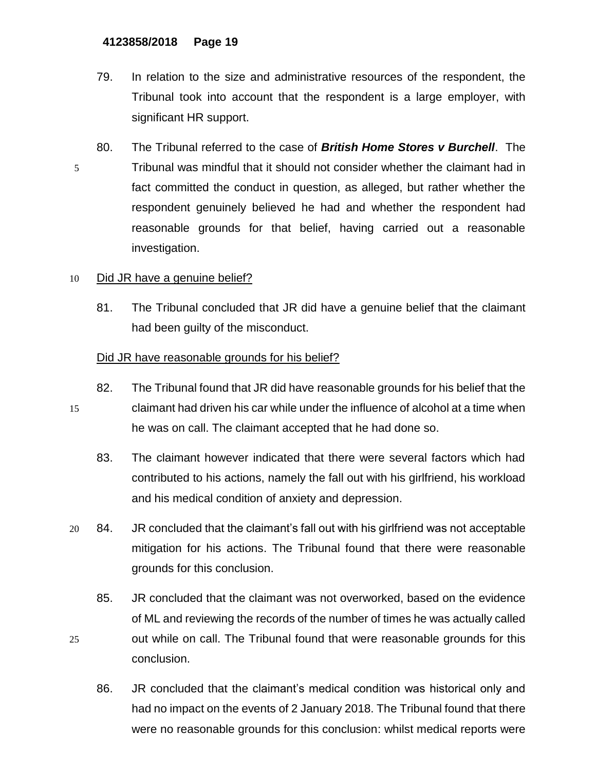- 79. In relation to the size and administrative resources of the respondent, the Tribunal took into account that the respondent is a large employer, with significant HR support.
- 80. The Tribunal referred to the case of *British Home Stores v Burchell*. The 5 Tribunal was mindful that it should not consider whether the claimant had in fact committed the conduct in question, as alleged, but rather whether the respondent genuinely believed he had and whether the respondent had reasonable grounds for that belief, having carried out a reasonable investigation.

# 10 Did JR have a genuine belief?

81. The Tribunal concluded that JR did have a genuine belief that the claimant had been guilty of the misconduct.

# Did JR have reasonable grounds for his belief?

- 82. The Tribunal found that JR did have reasonable grounds for his belief that the 15 claimant had driven his car while under the influence of alcohol at a time when he was on call. The claimant accepted that he had done so.
	- 83. The claimant however indicated that there were several factors which had contributed to his actions, namely the fall out with his girlfriend, his workload and his medical condition of anxiety and depression.
- 20 84. JR concluded that the claimant's fall out with his girlfriend was not acceptable mitigation for his actions. The Tribunal found that there were reasonable grounds for this conclusion.
- 85. JR concluded that the claimant was not overworked, based on the evidence of ML and reviewing the records of the number of times he was actually called 25 out while on call. The Tribunal found that were reasonable grounds for this conclusion.
	- 86. JR concluded that the claimant's medical condition was historical only and had no impact on the events of 2 January 2018. The Tribunal found that there were no reasonable grounds for this conclusion: whilst medical reports were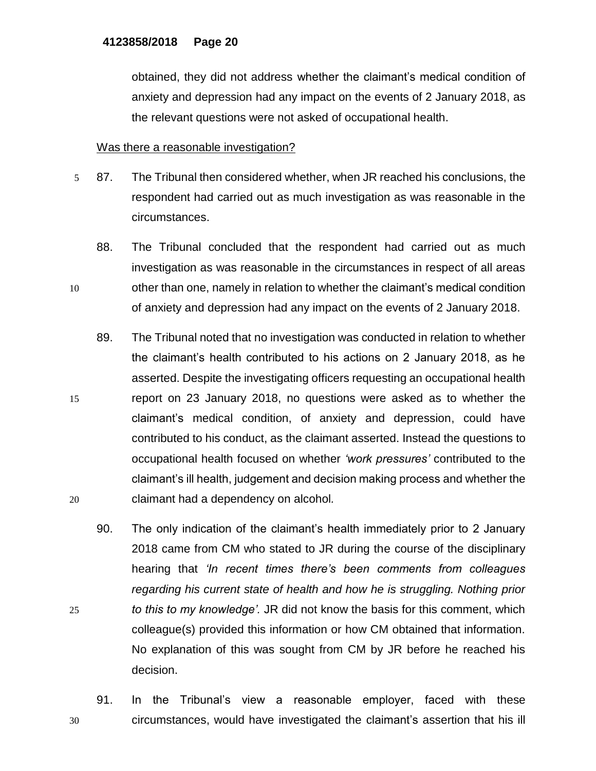obtained, they did not address whether the claimant's medical condition of anxiety and depression had any impact on the events of 2 January 2018, as the relevant questions were not asked of occupational health.

### Was there a reasonable investigation?

- 5 87. The Tribunal then considered whether, when JR reached his conclusions, the respondent had carried out as much investigation as was reasonable in the circumstances.
- 88. The Tribunal concluded that the respondent had carried out as much investigation as was reasonable in the circumstances in respect of all areas 10 other than one, namely in relation to whether the claimant's medical condition of anxiety and depression had any impact on the events of 2 January 2018.
- 89. The Tribunal noted that no investigation was conducted in relation to whether the claimant's health contributed to his actions on 2 January 2018, as he asserted. Despite the investigating officers requesting an occupational health 15 report on 23 January 2018, no questions were asked as to whether the claimant's medical condition, of anxiety and depression, could have contributed to his conduct, as the claimant asserted. Instead the questions to occupational health focused on whether *'work pressures'* contributed to the claimant's ill health, judgement and decision making process and whether the 20 claimant had a dependency on alcohol*.*
- 90. The only indication of the claimant's health immediately prior to 2 January 2018 came from CM who stated to JR during the course of the disciplinary hearing that *'In recent times there's been comments from colleagues regarding his current state of health and how he is struggling. Nothing prior*  25 *to this to my knowledge'.* JR did not know the basis for this comment, which colleague(s) provided this information or how CM obtained that information. No explanation of this was sought from CM by JR before he reached his decision.
- 91. In the Tribunal's view a reasonable employer, faced with these 30 circumstances, would have investigated the claimant's assertion that his ill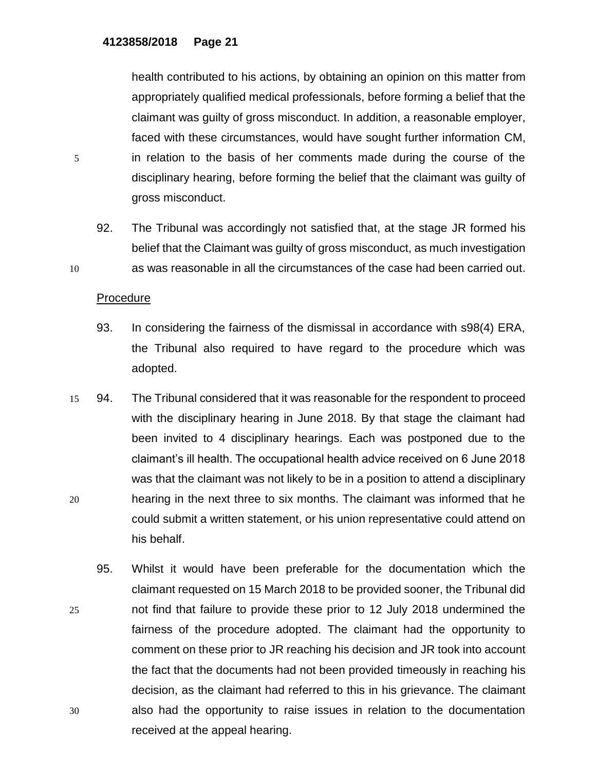health contributed to his actions, by obtaining an opinion on this matter from appropriately qualified medical professionals, before forming a belief that the claimant was guilty of gross misconduct. In addition, a reasonable employer, faced with these circumstances, would have sought further information CM, 5 in relation to the basis of her comments made during the course of the disciplinary hearing, before forming the belief that the claimant was guilty of gross misconduct.

92. The Tribunal was accordingly not satisfied that, at the stage JR formed his belief that the Claimant was guilty of gross misconduct, as much investigation 10 as was reasonable in all the circumstances of the case had been carried out.

### Procedure

- 93. In considering the fairness of the dismissal in accordance with s98(4) ERA, the Tribunal also required to have regard to the procedure which was adopted.
- 15 94. The Tribunal considered that it was reasonable for the respondent to proceed with the disciplinary hearing in June 2018. By that stage the claimant had been invited to 4 disciplinary hearings. Each was postponed due to the claimant's ill health. The occupational health advice received on 6 June 2018 was that the claimant was not likely to be in a position to attend a disciplinary 20 hearing in the next three to six months. The claimant was informed that he could submit a written statement, or his union representative could attend on his behalf.
- 95. Whilst it would have been preferable for the documentation which the claimant requested on 15 March 2018 to be provided sooner, the Tribunal did 25 not find that failure to provide these prior to 12 July 2018 undermined the fairness of the procedure adopted. The claimant had the opportunity to comment on these prior to JR reaching his decision and JR took into account the fact that the documents had not been provided timeously in reaching his decision, as the claimant had referred to this in his grievance. The claimant 30 also had the opportunity to raise issues in relation to the documentation received at the appeal hearing.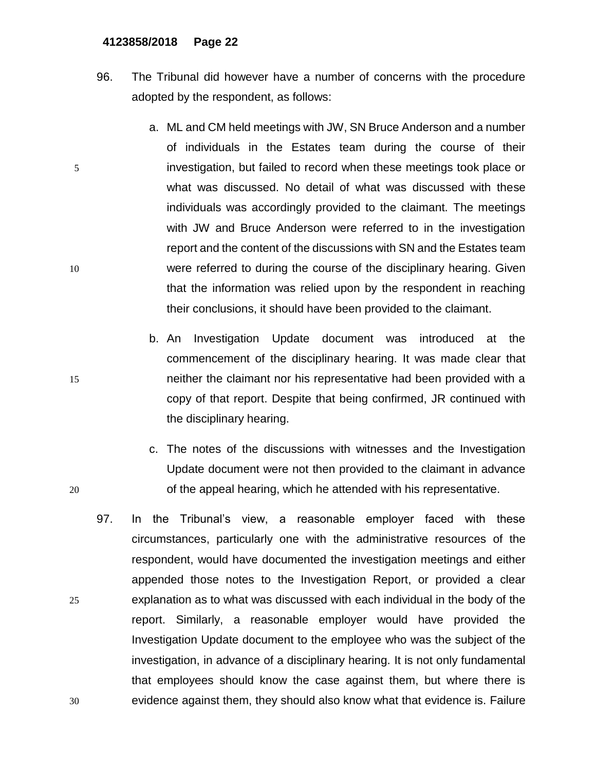- 96. The Tribunal did however have a number of concerns with the procedure adopted by the respondent, as follows:
- a. ML and CM held meetings with JW, SN Bruce Anderson and a number of individuals in the Estates team during the course of their 5 investigation, but failed to record when these meetings took place or what was discussed. No detail of what was discussed with these individuals was accordingly provided to the claimant. The meetings with JW and Bruce Anderson were referred to in the investigation report and the content of the discussions with SN and the Estates team 10 were referred to during the course of the disciplinary hearing. Given that the information was relied upon by the respondent in reaching their conclusions, it should have been provided to the claimant.
- b. An Investigation Update document was introduced at the commencement of the disciplinary hearing. It was made clear that 15 neither the claimant nor his representative had been provided with a copy of that report. Despite that being confirmed, JR continued with the disciplinary hearing.
- c. The notes of the discussions with witnesses and the Investigation Update document were not then provided to the claimant in advance 20 of the appeal hearing, which he attended with his representative.
- 97. In the Tribunal's view, a reasonable employer faced with these circumstances, particularly one with the administrative resources of the respondent, would have documented the investigation meetings and either appended those notes to the Investigation Report, or provided a clear 25 explanation as to what was discussed with each individual in the body of the report. Similarly, a reasonable employer would have provided the Investigation Update document to the employee who was the subject of the investigation, in advance of a disciplinary hearing. It is not only fundamental that employees should know the case against them, but where there is 30 evidence against them, they should also know what that evidence is. Failure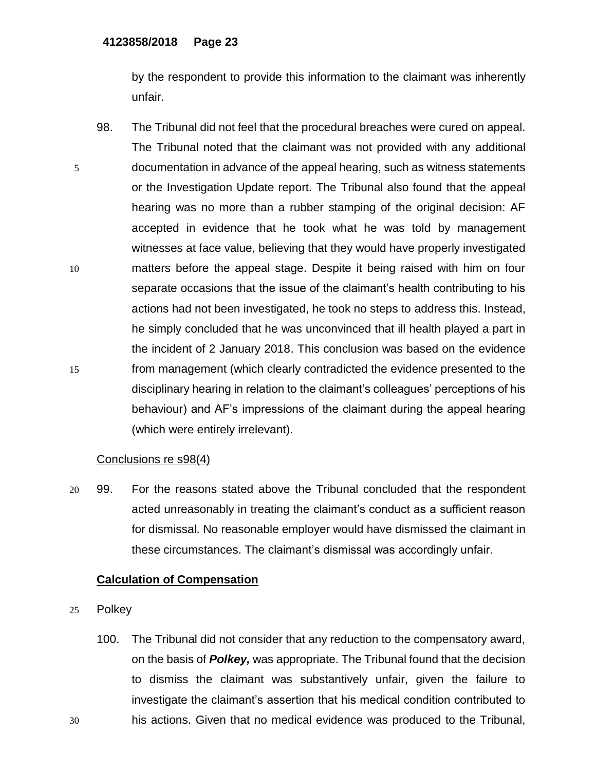by the respondent to provide this information to the claimant was inherently unfair.

98. The Tribunal did not feel that the procedural breaches were cured on appeal. The Tribunal noted that the claimant was not provided with any additional 5 documentation in advance of the appeal hearing, such as witness statements or the Investigation Update report. The Tribunal also found that the appeal hearing was no more than a rubber stamping of the original decision: AF accepted in evidence that he took what he was told by management witnesses at face value, believing that they would have properly investigated 10 matters before the appeal stage. Despite it being raised with him on four separate occasions that the issue of the claimant's health contributing to his actions had not been investigated, he took no steps to address this. Instead, he simply concluded that he was unconvinced that ill health played a part in the incident of 2 January 2018. This conclusion was based on the evidence 15 from management (which clearly contradicted the evidence presented to the disciplinary hearing in relation to the claimant's colleagues' perceptions of his behaviour) and AF's impressions of the claimant during the appeal hearing (which were entirely irrelevant).

### Conclusions re s98(4)

20 99. For the reasons stated above the Tribunal concluded that the respondent acted unreasonably in treating the claimant's conduct as a sufficient reason for dismissal. No reasonable employer would have dismissed the claimant in these circumstances. The claimant's dismissal was accordingly unfair.

## **Calculation of Compensation**

- 25 Polkey
- 100. The Tribunal did not consider that any reduction to the compensatory award, on the basis of *Polkey,* was appropriate. The Tribunal found that the decision to dismiss the claimant was substantively unfair, given the failure to investigate the claimant's assertion that his medical condition contributed to 30 his actions. Given that no medical evidence was produced to the Tribunal,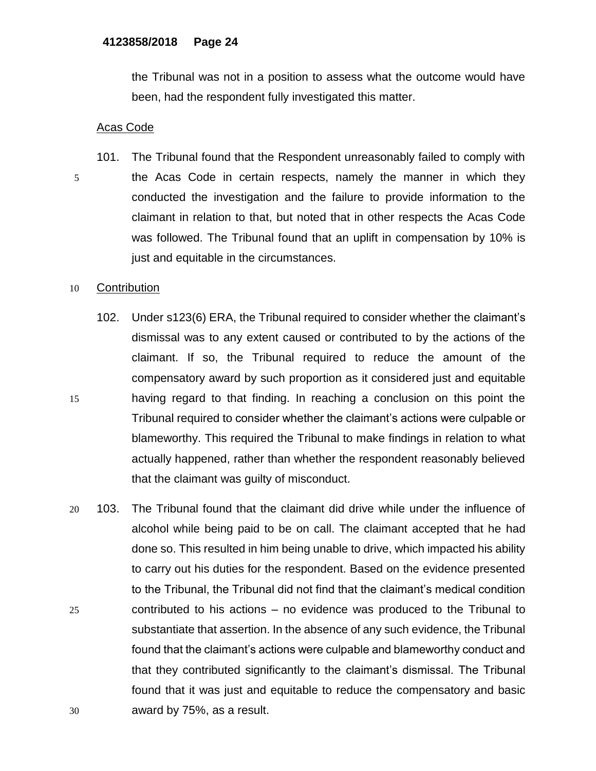the Tribunal was not in a position to assess what the outcome would have been, had the respondent fully investigated this matter.

## Acas Code

101. The Tribunal found that the Respondent unreasonably failed to comply with 5 the Acas Code in certain respects, namely the manner in which they conducted the investigation and the failure to provide information to the claimant in relation to that, but noted that in other respects the Acas Code was followed. The Tribunal found that an uplift in compensation by 10% is just and equitable in the circumstances.

### 10 Contribution

- 102. Under s123(6) ERA, the Tribunal required to consider whether the claimant's dismissal was to any extent caused or contributed to by the actions of the claimant. If so, the Tribunal required to reduce the amount of the compensatory award by such proportion as it considered just and equitable 15 having regard to that finding. In reaching a conclusion on this point the Tribunal required to consider whether the claimant's actions were culpable or blameworthy. This required the Tribunal to make findings in relation to what actually happened, rather than whether the respondent reasonably believed that the claimant was guilty of misconduct.
- 20 103. The Tribunal found that the claimant did drive while under the influence of alcohol while being paid to be on call. The claimant accepted that he had done so. This resulted in him being unable to drive, which impacted his ability to carry out his duties for the respondent. Based on the evidence presented to the Tribunal, the Tribunal did not find that the claimant's medical condition 25 contributed to his actions – no evidence was produced to the Tribunal to substantiate that assertion. In the absence of any such evidence, the Tribunal found that the claimant's actions were culpable and blameworthy conduct and that they contributed significantly to the claimant's dismissal. The Tribunal found that it was just and equitable to reduce the compensatory and basic 30 award by 75%, as a result.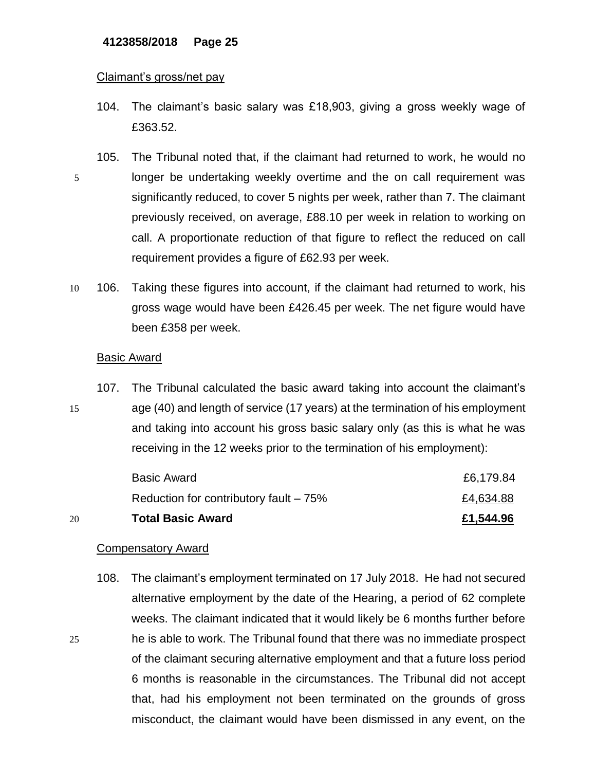#### Claimant's gross/net pay

- 104. The claimant's basic salary was £18,903, giving a gross weekly wage of £363.52.
- 105. The Tribunal noted that, if the claimant had returned to work, he would no 5 longer be undertaking weekly overtime and the on call requirement was significantly reduced, to cover 5 nights per week, rather than 7. The claimant previously received, on average, £88.10 per week in relation to working on call. A proportionate reduction of that figure to reflect the reduced on call requirement provides a figure of £62.93 per week.
- 10 106. Taking these figures into account, if the claimant had returned to work, his gross wage would have been £426.45 per week. The net figure would have been £358 per week.

### Basic Award

107. The Tribunal calculated the basic award taking into account the claimant's 15 age (40) and length of service (17 years) at the termination of his employment and taking into account his gross basic salary only (as this is what he was receiving in the 12 weeks prior to the termination of his employment):

| 20 | <b>Total Basic Award</b>                | £1,544.96 |
|----|-----------------------------------------|-----------|
|    | Reduction for contributory fault $-75%$ | £4,634.88 |
|    | <b>Basic Award</b>                      | £6,179.84 |

#### Compensatory Award

108. The claimant's employment terminated on 17 July 2018. He had not secured alternative employment by the date of the Hearing, a period of 62 complete weeks. The claimant indicated that it would likely be 6 months further before 25 he is able to work. The Tribunal found that there was no immediate prospect of the claimant securing alternative employment and that a future loss period 6 months is reasonable in the circumstances. The Tribunal did not accept that, had his employment not been terminated on the grounds of gross misconduct, the claimant would have been dismissed in any event, on the